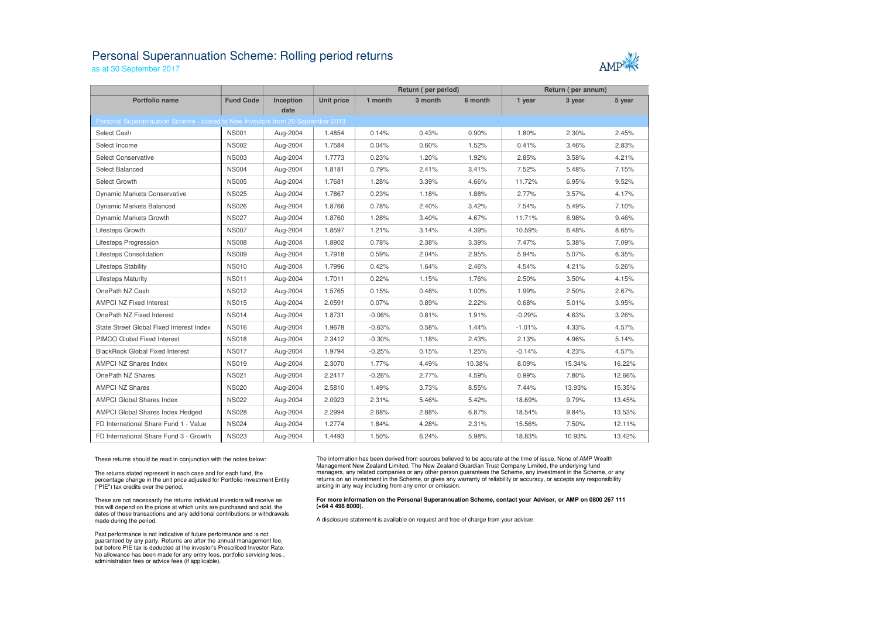## Personal Superannuation Scheme: Rolling period returns

as at 30 September 2017



|                                                                                 |                  |           |                   | Return (per period) |         | Return (per annum) |          |        |        |
|---------------------------------------------------------------------------------|------------------|-----------|-------------------|---------------------|---------|--------------------|----------|--------|--------|
| <b>Portfolio name</b>                                                           | <b>Fund Code</b> | Inception | <b>Unit price</b> | 1 month             | 3 month | 6 month            | 1 year   | 3 year | 5 year |
| Personal Superannuation Scheme - closed to New Investors from 20 September 2013 |                  | date      |                   |                     |         |                    |          |        |        |
|                                                                                 |                  |           |                   |                     |         |                    |          |        |        |
| Select Cash                                                                     | <b>NS001</b>     | Aug-2004  | 1.4854            | 0.14%               | 0.43%   | 0.90%              | 1.80%    | 2.30%  | 2.45%  |
| Select Income                                                                   | <b>NS002</b>     | Aug-2004  | 1.7584            | 0.04%               | 0.60%   | 1.52%              | 0.41%    | 3.46%  | 2.83%  |
| <b>Select Conservative</b>                                                      | <b>NS003</b>     | Aug-2004  | 1.7773            | 0.23%               | 1.20%   | 1.92%              | 2.85%    | 3.58%  | 4.21%  |
| Select Balanced                                                                 | <b>NS004</b>     | Aug-2004  | 1.8181            | 0.79%               | 2.41%   | 3.41%              | 7.52%    | 5.48%  | 7.15%  |
| Select Growth                                                                   | <b>NS005</b>     | Aug-2004  | 1.7681            | 1.28%               | 3.39%   | 4.66%              | 11.72%   | 6.95%  | 9.52%  |
| Dynamic Markets Conservative                                                    | <b>NS025</b>     | Aug-2004  | 1.7867            | 0.23%               | 1.18%   | 1.88%              | 2.77%    | 3.57%  | 4.17%  |
| Dynamic Markets Balanced                                                        | <b>NS026</b>     | Aug-2004  | 1.8766            | 0.78%               | 2.40%   | 3.42%              | 7.54%    | 5.49%  | 7.10%  |
| Dynamic Markets Growth                                                          | <b>NS027</b>     | Aug-2004  | 1.8760            | 1.28%               | 3.40%   | 4.67%              | 11.71%   | 6.98%  | 9.46%  |
| Lifesteps Growth                                                                | <b>NS007</b>     | Aug-2004  | 1.8597            | 1.21%               | 3.14%   | 4.39%              | 10.59%   | 6.48%  | 8.65%  |
| Lifesteps Progression                                                           | <b>NS008</b>     | Aug-2004  | 1.8902            | 0.78%               | 2.38%   | 3.39%              | 7.47%    | 5.38%  | 7.09%  |
| Lifesteps Consolidation                                                         | <b>NS009</b>     | Aug-2004  | 1.7918            | 0.59%               | 2.04%   | 2.95%              | 5.94%    | 5.07%  | 6.35%  |
| <b>Lifesteps Stability</b>                                                      | <b>NS010</b>     | Aug-2004  | 1.7996            | 0.42%               | 1.64%   | 2.46%              | 4.54%    | 4.21%  | 5.26%  |
| <b>Lifesteps Maturity</b>                                                       | <b>NS011</b>     | Aug-2004  | 1.7011            | 0.22%               | 1.15%   | 1.76%              | 2.50%    | 3.50%  | 4.15%  |
| OnePath NZ Cash                                                                 | <b>NS012</b>     | Aug-2004  | 1.5765            | 0.15%               | 0.48%   | 1.00%              | 1.99%    | 2.50%  | 2.67%  |
| <b>AMPCI NZ Fixed Interest</b>                                                  | <b>NS015</b>     | Aug-2004  | 2.0591            | 0.07%               | 0.89%   | 2.22%              | 0.68%    | 5.01%  | 3.95%  |
| OnePath NZ Fixed Interest                                                       | <b>NS014</b>     | Aug-2004  | 1.8731            | $-0.06%$            | 0.81%   | 1.91%              | $-0.29%$ | 4.63%  | 3.26%  |
| State Street Global Fixed Interest Index                                        | <b>NS016</b>     | Aug-2004  | 1.9678            | $-0.63%$            | 0.58%   | 1.44%              | $-1.01%$ | 4.33%  | 4.57%  |
| <b>PIMCO Global Fixed Interest</b>                                              | <b>NS018</b>     | Aug-2004  | 2.3412            | $-0.30%$            | 1.18%   | 2.43%              | 2.13%    | 4.96%  | 5.14%  |
| <b>BlackRock Global Fixed Interest</b>                                          | <b>NS017</b>     | Aug-2004  | 1.9794            | $-0.25%$            | 0.15%   | 1.25%              | $-0.14%$ | 4.23%  | 4.57%  |
| <b>AMPCI NZ Shares Index</b>                                                    | <b>NS019</b>     | Aug-2004  | 2.3070            | 1.77%               | 4.49%   | 10.38%             | 8.09%    | 15.34% | 16.22% |
| OnePath NZ Shares                                                               | <b>NS021</b>     | Aug-2004  | 2.2417            | $-0.26%$            | 2.77%   | 4.59%              | 0.99%    | 7.80%  | 12.66% |
| <b>AMPCI NZ Shares</b>                                                          | <b>NS020</b>     | Aug-2004  | 2.5810            | 1.49%               | 3.73%   | 8.55%              | 7.44%    | 13.93% | 15.35% |
| <b>AMPCI Global Shares Index</b>                                                | <b>NS022</b>     | Aug-2004  | 2.0923            | 2.31%               | 5.46%   | 5.42%              | 18.69%   | 9.79%  | 13.45% |
| AMPCI Global Shares Index Hedged                                                | <b>NS028</b>     | Aug-2004  | 2.2994            | 2.68%               | 2.88%   | 6.87%              | 18.54%   | 9.84%  | 13.53% |
| FD International Share Fund 1 - Value                                           | <b>NS024</b>     | Aug-2004  | 1.2774            | 1.84%               | 4.28%   | 2.31%              | 15.56%   | 7.50%  | 12.11% |
| FD International Share Fund 3 - Growth                                          | <b>NS023</b>     | Aug-2004  | 1.4493            | 1.50%               | 6.24%   | 5.98%              | 18.83%   | 10.93% | 13.42% |

These returns should be read in conjunction with the notes below:

The returns stated represent in each case and for each fund, the percentage change in the unit price adjusted for Portfolio Investment Entity ("PIE") tax credits over the period.

These are not necessarily the returns individual investors will receive as this will depend on the prices at which units are purchased and sold, the dates of these transactions and any additional contributions or withdrawals made during the period.

Past performance is not indicative of future performance and is not guaranteed by any party. Returns are after the annual management fee, but before PIE tax is deducted at the investor's Prescribed Investor Rate. No allowance has been made for any entry fees, portfolio servicing fees , administration fees or advice fees (if applicable).

The information has been derived from sources believed to be accurate at the time of issue. None of AMP Wealth Management New Zealand Limited, The New Zealand Guardian Trust Company Limited, the underlying fund managers, any related companies or any other person guarantees the Scheme, any investment in the Scheme, or any returns on an investment in the Scheme, or gives any warranty of reliability or accuracy, or accepts any responsibility arising in any way including from any error or omission.

## **For more information on the Personal Superannuation Scheme, contact your Adviser, or AMP on 0800 267 111 (+64 4 498 8000).**

A disclosure statement is available on request and free of charge from your adviser.